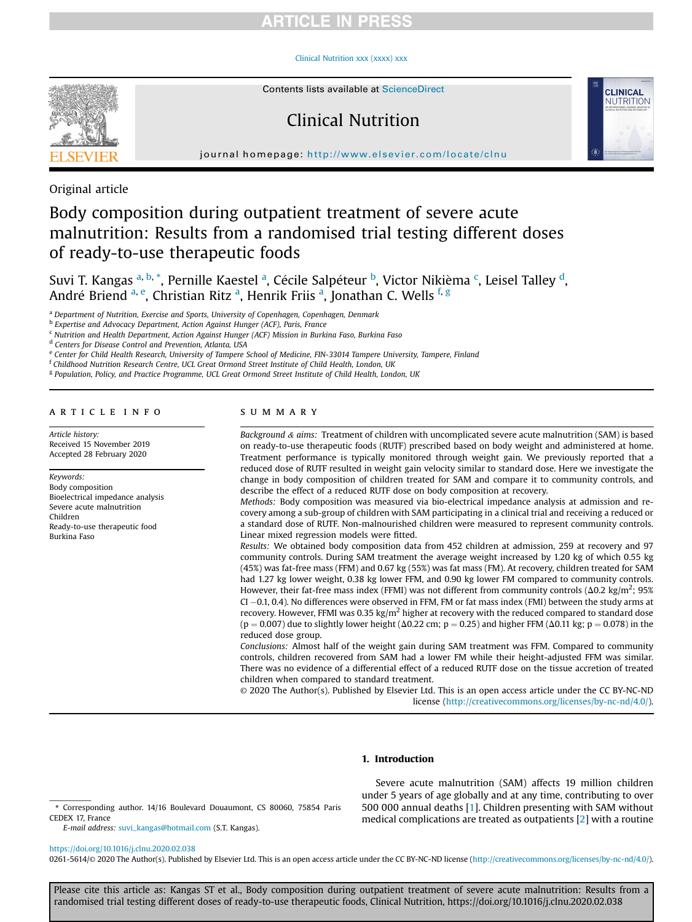# **RTICLE IN PRESS**

### [Clinical Nutrition xxx \(xxxx\) xxx](https://doi.org/10.1016/j.clnu.2020.02.038)



Contents lists available at ScienceDirect

# Clinical Nutrition



journal homepage: <http://www.elsevier.com/locate/clnu>

Original article

# Body composition during outpatient treatment of severe acute malnutrition: Results from a randomised trial testing different doses of ready-to-use therapeutic foods

Suvi T. Kangas <sup>[a,](#page-0-0) [b](#page-0-1), [\\*](#page-0-2)</sup>, Pernille K[a](#page-0-0)estel <sup>a</sup>, Cé[c](#page-0-3)ile Salpéteur <sup>b</sup>, Victor Nikièma <sup>c</sup>, Leisel Talley <sup>[d](#page-0-4)</sup>, André Briend <sup>[a,](#page-0-0) [e](#page-0-5)</sup>, Christi[a](#page-0-0)n Ritz <sup>a</sup>, Henrik Friis <sup>a</sup>, Jonathan C. Wells <sup>[f,](#page-0-6) [g](#page-0-7)</sup>

<span id="page-0-0"></span><sup>a</sup> Department of Nutrition, Exercise and Sports, University of Copenhagen, Copenhagen, Denmark

<span id="page-0-1"></span>b Expertise and Advocacy Department, Action Against Hunger (ACF), Paris, France

<span id="page-0-3"></span><sup>c</sup> Nutrition and Health Department, Action Against Hunger (ACF) Mission in Burkina Faso, Burkina Faso

<span id="page-0-4"></span><sup>d</sup> Centers for Disease Control and Prevention, Atlanta, USA

<span id="page-0-5"></span>e Center for Child Health Research, University of Tampere School of Medicine, FIN-33014 Tampere University, Tampere, Finland

<span id="page-0-6"></span><sup>f</sup> Childhood Nutrition Research Centre, UCL Great Ormond Street Institute of Child Health, London, UK

<span id="page-0-7"></span><sup>g</sup> Population, Policy, and Practice Programme, UCL Great Ormond Street Institute of Child Health, London, UK

### article info

Article history: Received 15 November 2019 Accepted 28 February 2020

### Keywords:

Body composition Bioelectrical impedance analysis Severe acute malnutrition Children Ready-to-use therapeutic food Burkina Faso

### SUMMARY

Background  $\&$  aims: Treatment of children with uncomplicated severe acute malnutrition (SAM) is based on ready-to-use therapeutic foods (RUTF) prescribed based on body weight and administered at home. Treatment performance is typically monitored through weight gain. We previously reported that a reduced dose of RUTF resulted in weight gain velocity similar to standard dose. Here we investigate the change in body composition of children treated for SAM and compare it to community controls, and describe the effect of a reduced RUTF dose on body composition at recovery.

Methods: Body composition was measured via bio-electrical impedance analysis at admission and recovery among a sub-group of children with SAM participating in a clinical trial and receiving a reduced or a standard dose of RUTF. Non-malnourished children were measured to represent community controls. Linear mixed regression models were fitted.

Results: We obtained body composition data from 452 children at admission, 259 at recovery and 97 community controls. During SAM treatment the average weight increased by 1.20 kg of which 0.55 kg (45%) was fat-free mass (FFM) and 0.67 kg (55%) was fat mass (FM). At recovery, children treated for SAM had 1.27 kg lower weight, 0.38 kg lower FFM, and 0.90 kg lower FM compared to community controls. However, their fat-free mass index (FFMI) was not different from community controls ( $\Delta 0.2$  kg/m<sup>2</sup>; 95%  $CI - 0.1, 0.4$ ). No differences were observed in FFM, FM or fat mass index (FMI) between the study arms at recovery. However, FFMI was 0.35 kg/m<sup>2</sup> higher at recovery with the reduced compared to standard dose  $(p = 0.007)$  due to slightly lower height ( $\Delta 0.22$  cm;  $p = 0.25$ ) and higher FFM ( $\Delta 0.11$  kg;  $p = 0.078$ ) in the reduced dose group.

Conclusions: Almost half of the weight gain during SAM treatment was FFM. Compared to community controls, children recovered from SAM had a lower FM while their height-adjusted FFM was similar. There was no evidence of a differential effect of a reduced RUTF dose on the tissue accretion of treated children when compared to standard treatment.

© 2020 The Author(s). Published by Elsevier Ltd. This is an open access article under the CC BY-NC-ND license [\(http://creativecommons.org/licenses/by-nc-nd/4.0/](http://creativecommons.org/licenses/by-nc-nd/4.0/)).

### 1. Introduction

E-mail address: [suvi\\_kangas@hotmail.com](mailto:suvi_kangas@hotmail.com) (S.T. Kangas).

Severe acute malnutrition (SAM) affects 19 million children under 5 years of age globally and at any time, contributing to over 500 000 annual deaths [\[1\]](#page-6-0). Children presenting with SAM without medical complications are treated as outpatients [\[2](#page-6-1)] with a routine

### <https://doi.org/10.1016/j.clnu.2020.02.038>

0261-5614/© 2020 The Author(s). Published by Elsevier Ltd. This is an open access article under the CC BY-NC-ND license [\(http://creativecommons.org/licenses/by-nc-nd/4.0/\)](http://creativecommons.org/licenses/by-nc-nd/4.0/).

<span id="page-0-2"></span><sup>\*</sup> Corresponding author. 14/16 Boulevard Douaumont, CS 80060, 75854 Paris CEDEX 17, France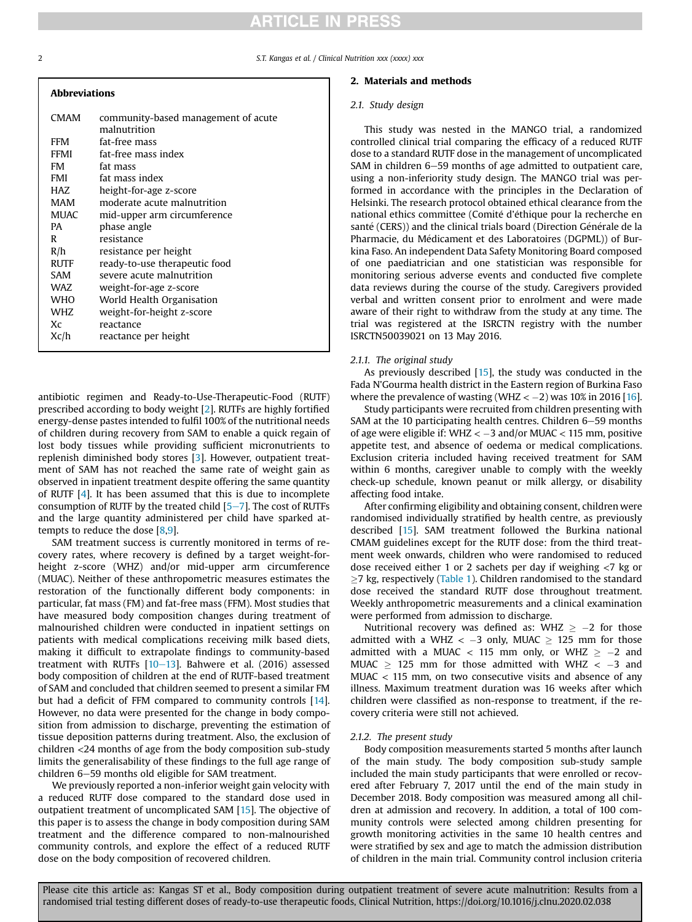# **RTICLE IN PRESS**

2 S.T. Kangas et al. / Clinical Nutrition xxx (xxxx) xxx

| <b>Abbreviations</b> |                                                     |
|----------------------|-----------------------------------------------------|
| <b>CMAM</b>          | community-based management of acute<br>malnutrition |
| <b>FFM</b>           | fat-free mass                                       |
| FFMI                 | fat-free mass index                                 |
| FM                   | fat mass                                            |
| FMI                  | fat mass index                                      |
| HAZ                  | height-for-age z-score                              |
| MAM                  | moderate acute malnutrition                         |
| MUAC                 | mid-upper arm circumference                         |
| PA.                  | phase angle                                         |
| R                    | resistance                                          |
| R/h                  | resistance per height                               |
| RUTF                 | ready-to-use therapeutic food                       |
| SAM                  | severe acute malnutrition                           |
| WAZ                  | weight-for-age z-score                              |
| WHO                  | World Health Organisation                           |
| WHZ                  | weight-for-height z-score                           |
| Xc                   | reactance                                           |
| Xc/h                 | reactance per height                                |
|                      |                                                     |

antibiotic regimen and Ready-to-Use-Therapeutic-Food (RUTF) prescribed according to body weight [\[2\]](#page-6-1). RUTFs are highly fortified energy-dense pastes intended to fulfil 100% of the nutritional needs of children during recovery from SAM to enable a quick regain of lost body tissues while providing sufficient micronutrients to replenish diminished body stores [\[3\]](#page-6-2). However, outpatient treatment of SAM has not reached the same rate of weight gain as observed in inpatient treatment despite offering the same quantity of RUTF [[4](#page-6-3)]. It has been assumed that this is due to incomplete consumption of RUTF by the treated child  $[5-7]$  $[5-7]$  $[5-7]$ . The cost of RUTFs and the large quantity administered per child have sparked attempts to reduce the dose [\[8](#page-6-5)[,9\]](#page-6-6).

SAM treatment success is currently monitored in terms of recovery rates, where recovery is defined by a target weight-forheight z-score (WHZ) and/or mid-upper arm circumference (MUAC). Neither of these anthropometric measures estimates the restoration of the functionally different body components: in particular, fat mass (FM) and fat-free mass (FFM). Most studies that have measured body composition changes during treatment of malnourished children were conducted in inpatient settings on patients with medical complications receiving milk based diets, making it difficult to extrapolate findings to community-based treatment with RUTFs  $[10-13]$  $[10-13]$  $[10-13]$  $[10-13]$  $[10-13]$ . Bahwere et al. (2016) assessed body composition of children at the end of RUTF-based treatment of SAM and concluded that children seemed to present a similar FM but had a deficit of FFM compared to community controls [\[14](#page-7-1)]. However, no data were presented for the change in body composition from admission to discharge, preventing the estimation of tissue deposition patterns during treatment. Also, the exclusion of children <24 months of age from the body composition sub-study limits the generalisability of these findings to the full age range of children  $6-59$  months old eligible for SAM treatment.

We previously reported a non-inferior weight gain velocity with a reduced RUTF dose compared to the standard dose used in outpatient treatment of uncomplicated SAM [[15\]](#page-7-2). The objective of this paper is to assess the change in body composition during SAM treatment and the difference compared to non-malnourished community controls, and explore the effect of a reduced RUTF dose on the body composition of recovered children.

### 2. Materials and methods

### 2.1. Study design

This study was nested in the MANGO trial, a randomized controlled clinical trial comparing the efficacy of a reduced RUTF dose to a standard RUTF dose in the management of uncomplicated SAM in children  $6-59$  months of age admitted to outpatient care, using a non-inferiority study design. The MANGO trial was performed in accordance with the principles in the Declaration of Helsinki. The research protocol obtained ethical clearance from the national ethics committee (Comité d'éthique pour la recherche en santé (CERS)) and the clinical trials board (Direction Générale de la Pharmacie, du Medicament et des Laboratoires (DGPML)) of Bur kina Faso. An independent Data Safety Monitoring Board composed of one paediatrician and one statistician was responsible for monitoring serious adverse events and conducted five complete data reviews during the course of the study. Caregivers provided verbal and written consent prior to enrolment and were made aware of their right to withdraw from the study at any time. The trial was registered at the ISRCTN registry with the number ISRCTN50039021 on 13 May 2016.

### 2.1.1. The original study

As previously described [[15\]](#page-7-2), the study was conducted in the Fada N'Gourma health district in the Eastern region of Burkina Faso where the prevalence of wasting (WHZ  $<-2$ ) was 10% in 2016 [\[16](#page-7-3)].

Study participants were recruited from children presenting with SAM at the 10 participating health centres. Children  $6-59$  months of age were eligible if: WHZ  $<-3$  and/or MUAC  $< 115$  mm, positive appetite test, and absence of oedema or medical complications. Exclusion criteria included having received treatment for SAM within 6 months, caregiver unable to comply with the weekly check-up schedule, known peanut or milk allergy, or disability affecting food intake.

After confirming eligibility and obtaining consent, children were randomised individually stratified by health centre, as previously described [[15\]](#page-7-2). SAM treatment followed the Burkina national CMAM guidelines except for the RUTF dose: from the third treatment week onwards, children who were randomised to reduced dose received either 1 or 2 sachets per day if weighing <7 kg or  $\geq$ 7 kg, respectively [\(Table 1](#page-2-0)). Children randomised to the standard dose received the standard RUTF dose throughout treatment. Weekly anthropometric measurements and a clinical examination were performed from admission to discharge.

Nutritional recovery was defined as: WHZ  $\geq -2$  for those admitted with a WHZ  $<-3$  only, MUAC  $\geq 125$  mm for those admitted with a MUAC < 115 mm only, or WHZ  $\geq -2$  and MUAC  $\geq$  125 mm for those admitted with WHZ  $<$  -3 and MUAC < 115 mm, on two consecutive visits and absence of any illness. Maximum treatment duration was 16 weeks after which children were classified as non-response to treatment, if the recovery criteria were still not achieved.

### 2.1.2. The present study

Body composition measurements started 5 months after launch of the main study. The body composition sub-study sample included the main study participants that were enrolled or recovered after February 7, 2017 until the end of the main study in December 2018. Body composition was measured among all children at admission and recovery. In addition, a total of 100 community controls were selected among children presenting for growth monitoring activities in the same 10 health centres and were stratified by sex and age to match the admission distribution of children in the main trial. Community control inclusion criteria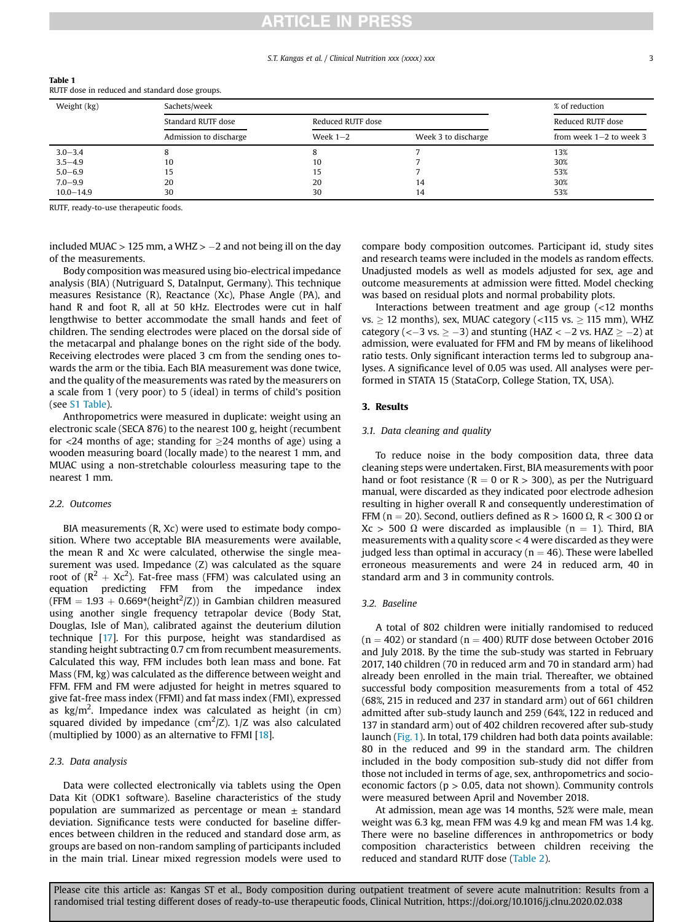### **ARTICLE IN PRESS**

 $3.0-3.4$  8 8 8 8 7 13%  $3.5-4.9$  10 10 10 10 7 30%  $5.0-6.9$  15 15 15 15 15 15 15 15 15 16 16 17 16 17 16 17 16 17 16 17 16 17 16 17 16 17 16 17 16 17 16 17 16 17 16 17 16 17 16 17 16 17 16 17 16 17 16 17 16 17 16 17 16 17 16 17 16 17 16 17 16 17 16 17 16 17 16 17 16 17 1  $7.0-9.9$  20 20 20 20 20 14 30%  $10.0-14.9$  30 30 30 30 30 44 53%

### S.T. Kangas et al. / Clinical Nutrition xxx (xxxx) xxx 33

|             | RUTF dose in reduced and standard dose groups. |                   |                     |                           |  |
|-------------|------------------------------------------------|-------------------|---------------------|---------------------------|--|
| Weight (kg) | Sachets/week                                   |                   |                     |                           |  |
|             | Standard RUTF dose                             | Reduced RUTF dose |                     | Reduced RUTF dose         |  |
|             | Admission to discharge                         | Week $1-2$        | Week 3 to discharge | from week $1-2$ to week 3 |  |

<span id="page-2-0"></span>Table 1

RUTF, ready-to-use therapeutic foods.

included MUAC  $>$  125 mm, a WHZ  $>$  -2 and not being ill on the day of the measurements.

Body composition was measured using bio-electrical impedance analysis (BIA) (Nutriguard S, DataInput, Germany). This technique measures Resistance (R), Reactance (Xc), Phase Angle (PA), and hand R and foot R, all at 50 kHz. Electrodes were cut in half lengthwise to better accommodate the small hands and feet of children. The sending electrodes were placed on the dorsal side of the metacarpal and phalange bones on the right side of the body. Receiving electrodes were placed 3 cm from the sending ones towards the arm or the tibia. Each BIA measurement was done twice, and the quality of the measurements was rated by the measurers on a scale from 1 (very poor) to 5 (ideal) in terms of child's position (see S1 Table).

Anthropometrics were measured in duplicate: weight using an electronic scale (SECA 876) to the nearest 100 g, height (recumbent for  $\langle 24 \rangle$  months of age; standing for  $\langle 24 \rangle$  months of age) using a wooden measuring board (locally made) to the nearest 1 mm, and MUAC using a non-stretchable colourless measuring tape to the nearest 1 mm.

### 2.2. Outcomes

BIA measurements (R, Xc) were used to estimate body composition. Where two acceptable BIA measurements were available, the mean R and Xc were calculated, otherwise the single measurement was used. Impedance (Z) was calculated as the square root of  $(R^2 + Xc^2)$ . Fat-free mass (FFM) was calculated using an equation predicting FFM from the impedance index  $(FFM = 1.93 + 0.669*(height<sup>2</sup>/Z))$  in Gambian children measured using another single frequency tetrapolar device (Body Stat, Douglas, Isle of Man), calibrated against the deuterium dilution technique [\[17\]](#page-7-4). For this purpose, height was standardised as standing height subtracting 0.7 cm from recumbent measurements. Calculated this way, FFM includes both lean mass and bone. Fat Mass (FM, kg) was calculated as the difference between weight and FFM. FFM and FM were adjusted for height in metres squared to give fat-free mass index (FFMI) and fat mass index (FMI), expressed as kg/m<sup>2</sup>. Impedance index was calculated as height (in cm) squared divided by impedance (cm $^2$ /Z). 1/Z was also calculated (multiplied by 1000) as an alternative to FFMI [\[18](#page-7-5)].

### 2.3. Data analysis

Data were collected electronically via tablets using the Open Data Kit (ODK1 software). Baseline characteristics of the study population are summarized as percentage or mean  $\pm$  standard deviation. Significance tests were conducted for baseline differences between children in the reduced and standard dose arm, as groups are based on non-random sampling of participants included in the main trial. Linear mixed regression models were used to compare body composition outcomes. Participant id, study sites and research teams were included in the models as random effects. Unadjusted models as well as models adjusted for sex, age and outcome measurements at admission were fitted. Model checking was based on residual plots and normal probability plots.

Interactions between treatment and age group (<12 months  $vs. > 12$  months), sex, MUAC category (<115 vs.  $> 115$  mm), WHZ category ( $<-3$  vs.  $>-3$ ) and stunting (HAZ  $<-2$  vs. HAZ  $>-2$ ) at admission, were evaluated for FFM and FM by means of likelihood ratio tests. Only significant interaction terms led to subgroup analyses. A significance level of 0.05 was used. All analyses were performed in STATA 15 (StataCorp, College Station, TX, USA).

### 3. Results

### 3.1. Data cleaning and quality

To reduce noise in the body composition data, three data cleaning steps were undertaken. First, BIA measurements with poor hand or foot resistance ( $R = 0$  or  $R > 300$ ), as per the Nutriguard manual, were discarded as they indicated poor electrode adhesion resulting in higher overall R and consequently underestimation of FFM (n = 20). Second, outliers defined as R > 1600  $\Omega$ , R < 300  $\Omega$  or  $Xc > 500 \Omega$  were discarded as implausible (n = 1). Third, BIA measurements with a quality score < 4 were discarded as they were judged less than optimal in accuracy ( $n = 46$ ). These were labelled erroneous measurements and were 24 in reduced arm, 40 in standard arm and 3 in community controls.

### 3.2. Baseline

A total of 802 children were initially randomised to reduced  $(n = 402)$  or standard  $(n = 400)$  RUTF dose between October 2016 and July 2018. By the time the sub-study was started in February 2017, 140 children (70 in reduced arm and 70 in standard arm) had already been enrolled in the main trial. Thereafter, we obtained successful body composition measurements from a total of 452 (68%, 215 in reduced and 237 in standard arm) out of 661 children admitted after sub-study launch and 259 (64%, 122 in reduced and 137 in standard arm) out of 402 children recovered after sub-study launch [\(Fig. 1](#page-3-0)). In total, 179 children had both data points available: 80 in the reduced and 99 in the standard arm. The children included in the body composition sub-study did not differ from those not included in terms of age, sex, anthropometrics and socioeconomic factors ( $p > 0.05$ , data not shown). Community controls were measured between April and November 2018.

At admission, mean age was 14 months, 52% were male, mean weight was 6.3 kg, mean FFM was 4.9 kg and mean FM was 1.4 kg. There were no baseline differences in anthropometrics or body composition characteristics between children receiving the reduced and standard RUTF dose ([Table 2\)](#page-3-1).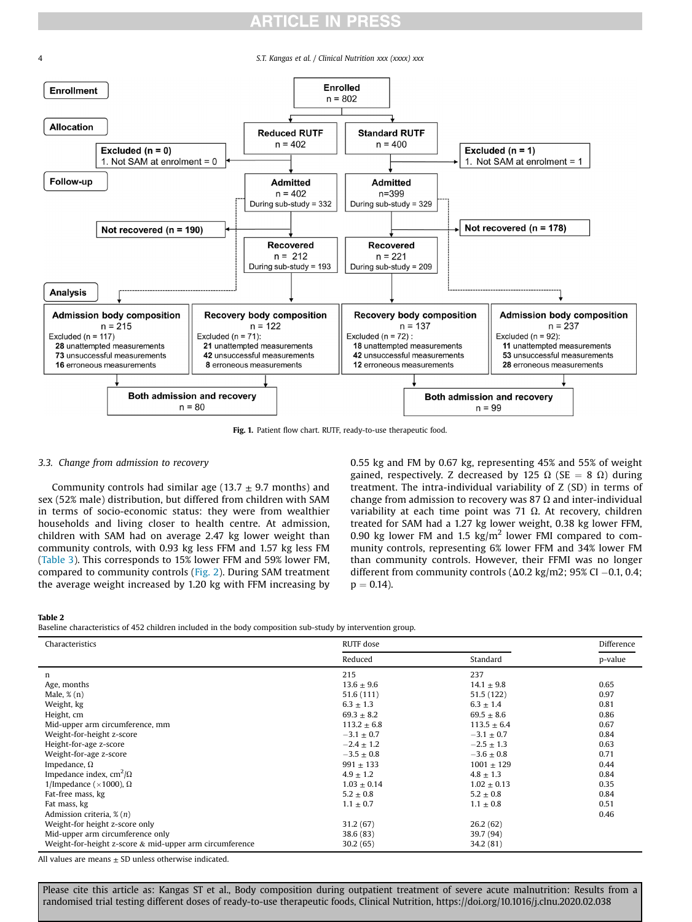# **ARTICLE IN PRESS**

<span id="page-3-0"></span>4 S.T. Kangas et al. / Clinical Nutrition xxx (xxxx) xxx



Fig. 1. Patient flow chart. RUTF, ready-to-use therapeutic food.

### 3.3. Change from admission to recovery

Community controls had similar age (13.7  $\pm$  9.7 months) and sex (52% male) distribution, but differed from children with SAM in terms of socio-economic status: they were from wealthier households and living closer to health centre. At admission, children with SAM had on average 2.47 kg lower weight than community controls, with 0.93 kg less FFM and 1.57 kg less FM ([Table 3\)](#page-4-0). This corresponds to 15% lower FFM and 59% lower FM, compared to community controls ([Fig. 2](#page-4-1)). During SAM treatment the average weight increased by 1.20 kg with FFM increasing by 0.55 kg and FM by 0.67 kg, representing 45% and 55% of weight gained, respectively. Z decreased by 125  $\Omega$  (SE = 8  $\Omega$ ) during treatment. The intra-individual variability of Z (SD) in terms of change from admission to recovery was 87  $\Omega$  and inter-individual variability at each time point was 71  $\Omega$ . At recovery, children treated for SAM had a 1.27 kg lower weight, 0.38 kg lower FFM, 0.90 kg lower FM and 1.5  $\text{kg/m}^2$  lower FMI compared to community controls, representing 6% lower FFM and 34% lower FM than community controls. However, their FFMI was no longer different from community controls ( $\Delta 0.2$  kg/m2; 95% CI -0.1, 0.4;  $p = 0.14$ ).

<span id="page-3-1"></span>Table 2

Baseline characteristics of 452 children included in the body composition sub-study by intervention group.

| Characteristics                                            | RUTF dose       | Difference      |         |
|------------------------------------------------------------|-----------------|-----------------|---------|
|                                                            | Reduced         | Standard        | p-value |
| n                                                          | 215             | 237             |         |
| Age, months                                                | $13.6 \pm 9.6$  | $14.1 \pm 9.8$  | 0.65    |
| Male, $\%$ (n)                                             | 51.6(111)       | 51.5 (122)      | 0.97    |
| Weight, kg                                                 | $6.3 \pm 1.3$   | $6.3 \pm 1.4$   | 0.81    |
| Height, cm                                                 | $69.3 \pm 8.2$  | $69.5 \pm 8.6$  | 0.86    |
| Mid-upper arm circumference, mm                            | $113.2 \pm 6.8$ | $113.5 \pm 6.4$ | 0.67    |
| Weight-for-height z-score                                  | $-3.1 \pm 0.7$  | $-3.1 \pm 0.7$  | 0.84    |
| Height-for-age z-score                                     | $-2.4 \pm 1.2$  | $-2.5 \pm 1.3$  | 0.63    |
| Weight-for-age z-score                                     | $-3.5 + 0.8$    | $-3.6 \pm 0.8$  | 0.71    |
| Impedance, $\Omega$                                        | $991 + 133$     | $1001 \pm 129$  | 0.44    |
| Impedance index, cm <sup>2</sup> / $\Omega$                | $4.9 \pm 1.2$   | $4.8 \pm 1.3$   | 0.84    |
| 1/Impedance ( $\times$ 1000), Ω                            | $1.03 \pm 0.14$ | $1.02 \pm 0.13$ | 0.35    |
| Fat-free mass, kg                                          | $5.2 \pm 0.8$   | $5.2 \pm 0.8$   | 0.84    |
| Fat mass, kg                                               | $1.1 \pm 0.7$   | $1.1 \pm 0.8$   | 0.51    |
| Admission criteria, $\mathcal{E}(n)$                       |                 |                 | 0.46    |
| Weight-for height z-score only                             | 31.2(67)        | 26.2(62)        |         |
| Mid-upper arm circumference only                           | 38.6(83)        | 39.7 (94)       |         |
| Weight-for-height z-score $\&$ mid-upper arm circumference | 30.2(65)        | 34.2 (81)       |         |

All values are means  $\pm$  SD unless otherwise indicated.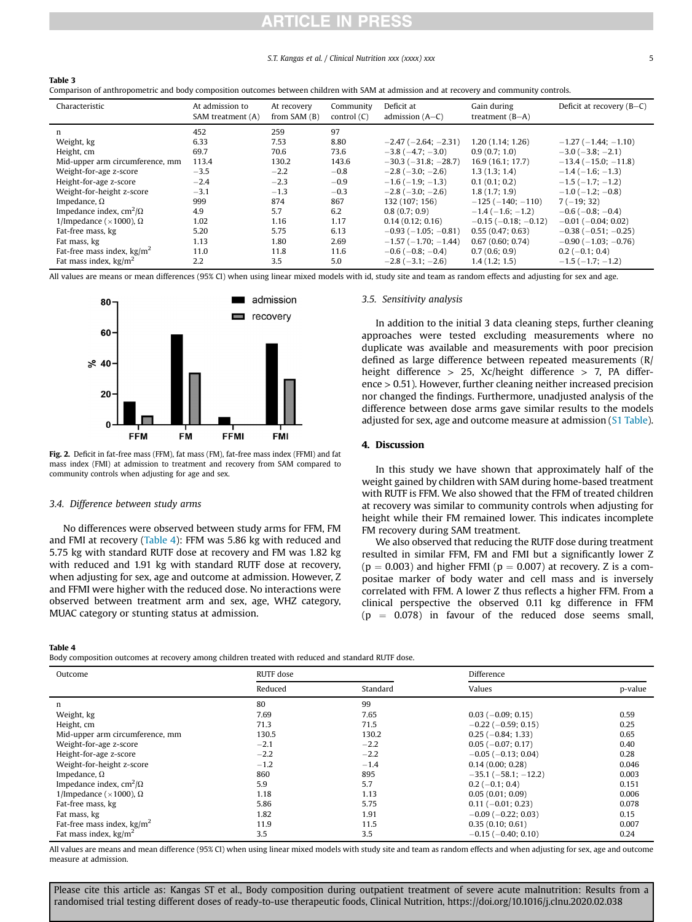### S.T. Kangas et al. / Clinical Nutrition xxx (xxxx) xxx 5

### <span id="page-4-0"></span>Table 3

Comparison of anthropometric and body composition outcomes between children with SAM at admission and at recovery and community controls.

| Characteristic                         | At admission to<br>SAM treatment (A) | At recovery<br>from SAM (B) | Community<br>control $(C)$ | Deficit at<br>admission $(A-C)$ | Gain during<br>treatment $(B-A)$ | Deficit at recovery $(B-C)$   |
|----------------------------------------|--------------------------------------|-----------------------------|----------------------------|---------------------------------|----------------------------------|-------------------------------|
| n                                      | 452                                  | 259                         | 97                         |                                 |                                  |                               |
| Weight, kg                             | 6.33                                 | 7.53                        | 8.80                       | $-2.47$ ( $-2.64$ ; $-2.31$ )   | 1.20(1.14; 1.26)                 | $-1.27(-1.44;-1.10)$          |
| Height, cm                             | 69.7                                 | 70.6                        | 73.6                       | $-3.8(-4.7; -3.0)$              | 0.9(0.7; 1.0)                    | $-3.0$ ( $-3.8$ ; $-2.1$ )    |
| Mid-upper arm circumference, mm        | 113.4                                | 130.2                       | 143.6                      | $-30.3(-31.8; -28.7)$           | 16.9(16.1; 17.7)                 | $-13.4(-15.0;-11.8)$          |
| Weight-for-age z-score                 | $-3.5$                               | $-2.2$                      | $-0.8$                     | $-2.8$ ( $-3.0$ ; $-2.6$ )      | 1.3(1.3:1.4)                     | $-1.4(-1.6;-1.3)$             |
| Height-for-age z-score                 | $-2.4$                               | $-2.3$                      | $-0.9$                     | $-1.6(-1.9; -1.3)$              | 0.1(0.1; 0.2)                    | $-1.5(-1.7; -1.2)$            |
| Weight-for-height z-score              | $-3.1$                               | $-1.3$                      | $-0.3$                     | $-2.8(-3.0:-2.6)$               | 1.8(1.7; 1.9)                    | $-1.0$ ( $-1.2$ ; $-0.8$ )    |
| Impedance, $\Omega$                    | 999                                  | 874                         | 867                        | 132 (107; 156)                  | $-125(-140; -110)$               | $7(-19; 32)$                  |
| Impedance index, $\text{cm}^2/\Omega$  | 4.9                                  | 5.7                         | 6.2                        | 0.8(0.7; 0.9)                   | $-1.4(-1.6;-1.2)$                | $-0.6$ ( $-0.8$ ; $-0.4$ )    |
| 1/Impedance ( $\times$ 1000), $\Omega$ | 1.02                                 | 1.16                        | 1.17                       | 0.14(0.12:0.16)                 | $-0.15$ ( $-0.18$ ; $-0.12$ )    | $-0.01$ ( $-0.04$ ; 0.02)     |
| Fat-free mass, kg                      | 5.20                                 | 5.75                        | 6.13                       | $-0.93$ ( $-1.05$ ; $-0.81$ )   | 0.55(0.47:0.63)                  | $-0.38$ ( $-0.51$ ; $-0.25$ ) |
| Fat mass, kg                           | 1.13                                 | 1.80                        | 2.69                       | $-1.57(-1.70; -1.44)$           | 0.67(0.60; 0.74)                 | $-0.90$ ( $-1.03$ ; $-0.76$ ) |
| Fat-free mass index, $\text{kg/m}^2$   | 11.0                                 | 11.8                        | 11.6                       | $-0.6$ ( $-0.8$ ; $-0.4$ )      | 0.7(0.6; 0.9)                    | $0.2$ (-0.1; 0.4)             |
| Fat mass index, $\text{kg/m}^2$        | 2.2                                  | 3.5                         | 5.0                        | $-2.8(-3.1; -2.6)$              | 1.4(1.2; 1.5)                    | $-1.5(-1.7; -1.2)$            |

<span id="page-4-1"></span>All values are means or mean differences (95% CI) when using linear mixed models with id, study site and team as random effects and adjusting for sex and age.



Fig. 2. Deficit in fat-free mass (FFM), fat mass (FM), fat-free mass index (FFMI) and fat mass index (FMI) at admission to treatment and recovery from SAM compared to community controls when adjusting for age and sex.

### 3.4. Difference between study arms

No differences were observed between study arms for FFM, FM and FMI at recovery [\(Table 4](#page-4-2)): FFM was 5.86 kg with reduced and 5.75 kg with standard RUTF dose at recovery and FM was 1.82 kg with reduced and 1.91 kg with standard RUTF dose at recovery, when adjusting for sex, age and outcome at admission. However, Z and FFMI were higher with the reduced dose. No interactions were observed between treatment arm and sex, age, WHZ category, MUAC category or stunting status at admission.

### 3.5. Sensitivity analysis

In addition to the initial 3 data cleaning steps, further cleaning approaches were tested excluding measurements where no duplicate was available and measurements with poor precision defined as large difference between repeated measurements (R/ height difference  $> 25$ , Xc/height difference  $> 7$ , PA difference > 0.51). However, further cleaning neither increased precision nor changed the findings. Furthermore, unadjusted analysis of the difference between dose arms gave similar results to the models adjusted for sex, age and outcome measure at admission (S1 Table).

### 4. Discussion

In this study we have shown that approximately half of the weight gained by children with SAM during home-based treatment with RUTF is FFM. We also showed that the FFM of treated children at recovery was similar to community controls when adjusting for height while their FM remained lower. This indicates incomplete FM recovery during SAM treatment.

We also observed that reducing the RUTF dose during treatment resulted in similar FFM, FM and FMI but a significantly lower Z  $(p = 0.003)$  and higher FFMI ( $p = 0.007$ ) at recovery. Z is a compositae marker of body water and cell mass and is inversely correlated with FFM. A lower Z thus reflects a higher FFM. From a clinical perspective the observed 0.11 kg difference in FFM  $(p = 0.078)$  in favour of the reduced dose seems small,

<span id="page-4-2"></span>Table 4

Body composition outcomes at recovery among children treated with reduced and standard RUTF dose.

| Outcome                                     | RUTF dose |          | Difference                    |         |
|---------------------------------------------|-----------|----------|-------------------------------|---------|
|                                             | Reduced   | Standard | Values                        | p-value |
| n                                           | 80        | 99       |                               |         |
| Weight, kg                                  | 7.69      | 7.65     | $0.03$ (-0.09; 0.15)          | 0.59    |
| Height, cm                                  | 71.3      | 71.5     | $-0.22$ ( $-0.59$ ; 0.15)     | 0.25    |
| Mid-upper arm circumference, mm             | 130.5     | 130.2    | $0.25(-0.84; 1.33)$           | 0.65    |
| Weight-for-age z-score                      | $-2.1$    | $-2.2$   | $0.05$ ( $-0.07$ ; 0.17)      | 0.40    |
| Height-for-age z-score                      | $-2.2$    | $-2.2$   | $-0.05$ ( $-0.13$ ; 0.04)     | 0.28    |
| Weight-for-height z-score                   | $-1.2$    | $-1.4$   | 0.14(0.00; 0.28)              | 0.046   |
| Impedance, $\Omega$                         | 860       | 895      | $-35.1$ ( $-58.1$ ; $-12.2$ ) | 0.003   |
| Impedance index, cm <sup>2</sup> / $\Omega$ | 5.9       | 5.7      | $0.2(-0.1; 0.4)$              | 0.151   |
| 1/Impedance ( $\times$ 1000), $\Omega$      | 1.18      | 1.13     | 0.05(0.01; 0.09)              | 0.006   |
| Fat-free mass, kg                           | 5.86      | 5.75     | $0.11 (-0.01; 0.23)$          | 0.078   |
| Fat mass, kg                                | 1.82      | 1.91     | $-0.09$ ( $-0.22$ ; 0.03)     | 0.15    |
| Fat-free mass index, $\text{kg/m}^2$        | 11.9      | 11.5     | 0.35(0.10; 0.61)              | 0.007   |
| Fat mass index, $\text{kg/m}^2$             | 3.5       | 3.5      | $-0.15$ ( $-0.40$ ; 0.10)     | 0.24    |

All values are means and mean difference (95% CI) when using linear mixed models with study site and team as random effects and when adjusting for sex, age and outcome measure at admission.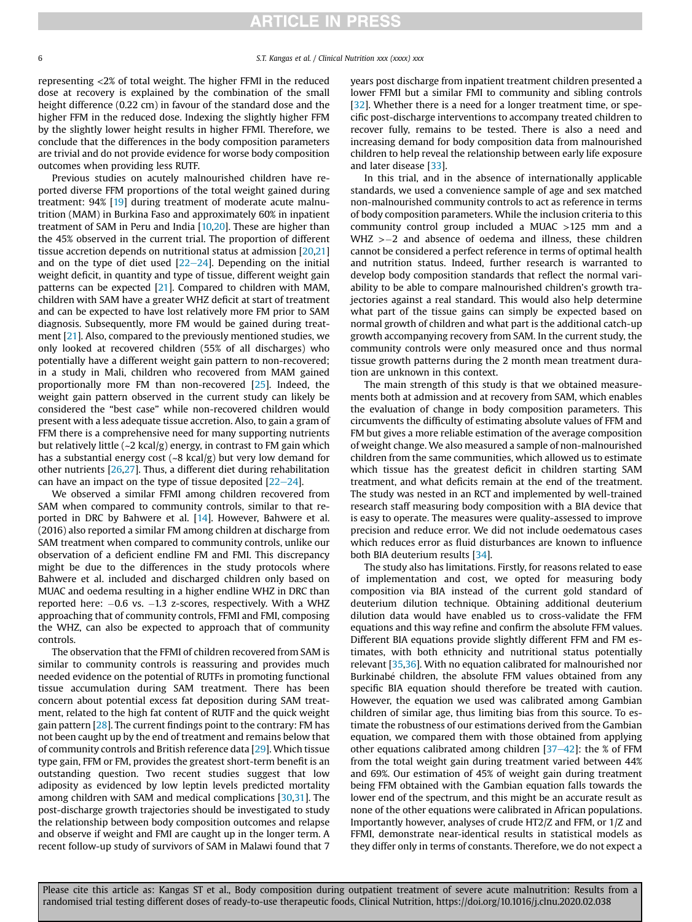# **ARTICLE IN PRESS**

representing <2% of total weight. The higher FFMI in the reduced dose at recovery is explained by the combination of the small height difference (0.22 cm) in favour of the standard dose and the higher FFM in the reduced dose. Indexing the slightly higher FFM by the slightly lower height results in higher FFMI. Therefore, we conclude that the differences in the body composition parameters are trivial and do not provide evidence for worse body composition outcomes when providing less RUTF.

Previous studies on acutely malnourished children have reported diverse FFM proportions of the total weight gained during treatment: 94% [[19\]](#page-7-6) during treatment of moderate acute malnutrition (MAM) in Burkina Faso and approximately 60% in inpatient treatment of SAM in Peru and India [\[10](#page-7-0)[,20\]](#page-7-7). These are higher than the 45% observed in the current trial. The proportion of different tissue accretion depends on nutritional status at admission [\[20,](#page-7-7)[21\]](#page-7-8) and on the type of diet used  $[22-24]$  $[22-24]$  $[22-24]$  $[22-24]$ . Depending on the initial weight deficit, in quantity and type of tissue, different weight gain patterns can be expected [\[21](#page-7-8)]. Compared to children with MAM, children with SAM have a greater WHZ deficit at start of treatment and can be expected to have lost relatively more FM prior to SAM diagnosis. Subsequently, more FM would be gained during treatment [[21\]](#page-7-8). Also, compared to the previously mentioned studies, we only looked at recovered children (55% of all discharges) who potentially have a different weight gain pattern to non-recovered; in a study in Mali, children who recovered from MAM gained proportionally more FM than non-recovered [\[25\]](#page-7-10). Indeed, the weight gain pattern observed in the current study can likely be considered the "best case" while non-recovered children would present with a less adequate tissue accretion. Also, to gain a gram of FFM there is a comprehensive need for many supporting nutrients but relatively little (~2 kcal/g) energy, in contrast to FM gain which has a substantial energy cost  $({\sim}8 \text{ kcal/g})$  but very low demand for other nutrients [[26](#page-7-11)[,27](#page-7-12)]. Thus, a different diet during rehabilitation can have an impact on the type of tissue deposited  $[22-24]$  $[22-24]$  $[22-24]$  $[22-24]$ .

We observed a similar FFMI among children recovered from SAM when compared to community controls, similar to that reported in DRC by Bahwere et al. [[14\]](#page-7-1). However, Bahwere et al. (2016) also reported a similar FM among children at discharge from SAM treatment when compared to community controls, unlike our observation of a deficient endline FM and FMI. This discrepancy might be due to the differences in the study protocols where Bahwere et al. included and discharged children only based on MUAC and oedema resulting in a higher endline WHZ in DRC than reported here:  $-0.6$  vs.  $-1.3$  z-scores, respectively. With a WHZ approaching that of community controls, FFMI and FMI, composing the WHZ, can also be expected to approach that of community controls.

The observation that the FFMI of children recovered from SAM is similar to community controls is reassuring and provides much needed evidence on the potential of RUTFs in promoting functional tissue accumulation during SAM treatment. There has been concern about potential excess fat deposition during SAM treatment, related to the high fat content of RUTF and the quick weight gain pattern [[28](#page-7-13)]. The current findings point to the contrary: FM has not been caught up by the end of treatment and remains below that of community controls and British reference data [\[29\]](#page-7-14). Which tissue type gain, FFM or FM, provides the greatest short-term benefit is an outstanding question. Two recent studies suggest that low adiposity as evidenced by low leptin levels predicted mortality among children with SAM and medical complications [\[30,](#page-7-15)[31\]](#page-7-16). The post-discharge growth trajectories should be investigated to study the relationship between body composition outcomes and relapse and observe if weight and FMI are caught up in the longer term. A recent follow-up study of survivors of SAM in Malawi found that 7

years post discharge from inpatient treatment children presented a lower FFMI but a similar FMI to community and sibling controls [[32](#page-7-17)]. Whether there is a need for a longer treatment time, or specific post-discharge interventions to accompany treated children to recover fully, remains to be tested. There is also a need and increasing demand for body composition data from malnourished children to help reveal the relationship between early life exposure and later disease [[33](#page-7-18)].

In this trial, and in the absence of internationally applicable standards, we used a convenience sample of age and sex matched non-malnourished community controls to act as reference in terms of body composition parameters. While the inclusion criteria to this community control group included a MUAC >125 mm and a  $WHZ > -2$  and absence of oedema and illness, these children cannot be considered a perfect reference in terms of optimal health and nutrition status. Indeed, further research is warranted to develop body composition standards that reflect the normal variability to be able to compare malnourished children's growth trajectories against a real standard. This would also help determine what part of the tissue gains can simply be expected based on normal growth of children and what part is the additional catch-up growth accompanying recovery from SAM. In the current study, the community controls were only measured once and thus normal tissue growth patterns during the 2 month mean treatment duration are unknown in this context.

The main strength of this study is that we obtained measurements both at admission and at recovery from SAM, which enables the evaluation of change in body composition parameters. This circumvents the difficulty of estimating absolute values of FFM and FM but gives a more reliable estimation of the average composition of weight change. We also measured a sample of non-malnourished children from the same communities, which allowed us to estimate which tissue has the greatest deficit in children starting SAM treatment, and what deficits remain at the end of the treatment. The study was nested in an RCT and implemented by well-trained research staff measuring body composition with a BIA device that is easy to operate. The measures were quality-assessed to improve precision and reduce error. We did not include oedematous cases which reduces error as fluid disturbances are known to influence both BIA deuterium results [[34](#page-7-19)].

The study also has limitations. Firstly, for reasons related to ease of implementation and cost, we opted for measuring body composition via BIA instead of the current gold standard of deuterium dilution technique. Obtaining additional deuterium dilution data would have enabled us to cross-validate the FFM equations and this way refine and confirm the absolute FFM values. Different BIA equations provide slightly different FFM and FM estimates, with both ethnicity and nutritional status potentially relevant [[35](#page-7-20),[36](#page-7-21)]. With no equation calibrated for malnourished nor Burkinabé children, the absolute FFM values obtained from any specific BIA equation should therefore be treated with caution. However, the equation we used was calibrated among Gambian children of similar age, thus limiting bias from this source. To estimate the robustness of our estimations derived from the Gambian equation, we compared them with those obtained from applying other equations calibrated among children  $[37-42]$  $[37-42]$  $[37-42]$  $[37-42]$ : the % of FFM from the total weight gain during treatment varied between 44% and 69%. Our estimation of 45% of weight gain during treatment being FFM obtained with the Gambian equation falls towards the lower end of the spectrum, and this might be an accurate result as none of the other equations were calibrated in African populations. Importantly however, analyses of crude HT2/Z and FFM, or 1/Z and FFMI, demonstrate near-identical results in statistical models as they differ only in terms of constants. Therefore, we do not expect a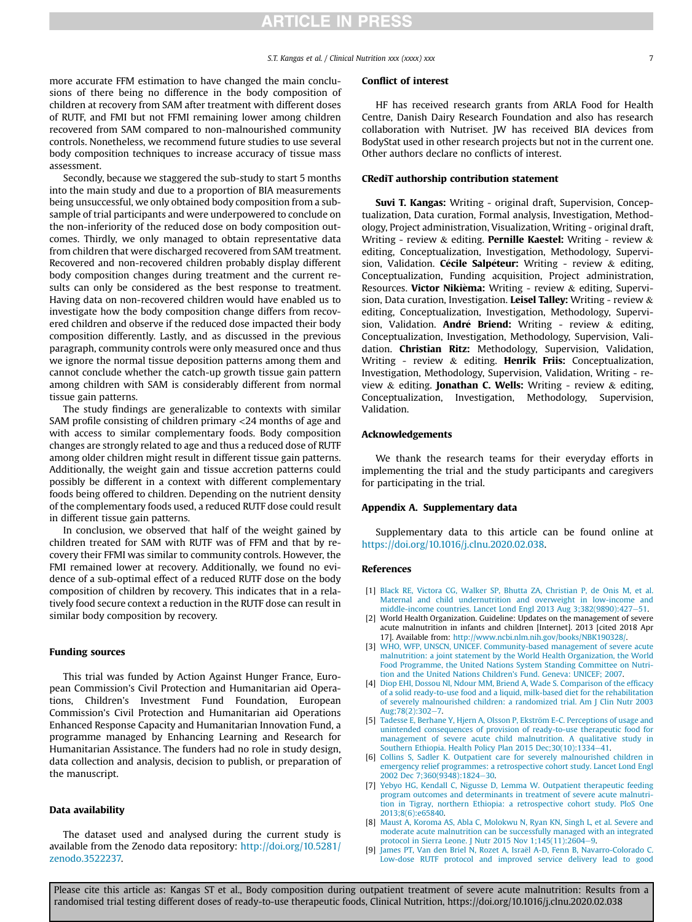### S.T. Kangas et al. / Clinical Nutrition xxx (xxxx) xxx 7

more accurate FFM estimation to have changed the main conclusions of there being no difference in the body composition of children at recovery from SAM after treatment with different doses of RUTF, and FMI but not FFMI remaining lower among children recovered from SAM compared to non-malnourished community controls. Nonetheless, we recommend future studies to use several body composition techniques to increase accuracy of tissue mass assessment.

Secondly, because we staggered the sub-study to start 5 months into the main study and due to a proportion of BIA measurements being unsuccessful, we only obtained body composition from a subsample of trial participants and were underpowered to conclude on the non-inferiority of the reduced dose on body composition outcomes. Thirdly, we only managed to obtain representative data from children that were discharged recovered from SAM treatment. Recovered and non-recovered children probably display different body composition changes during treatment and the current results can only be considered as the best response to treatment. Having data on non-recovered children would have enabled us to investigate how the body composition change differs from recovered children and observe if the reduced dose impacted their body composition differently. Lastly, and as discussed in the previous paragraph, community controls were only measured once and thus we ignore the normal tissue deposition patterns among them and cannot conclude whether the catch-up growth tissue gain pattern among children with SAM is considerably different from normal tissue gain patterns.

The study findings are generalizable to contexts with similar SAM profile consisting of children primary <24 months of age and with access to similar complementary foods. Body composition changes are strongly related to age and thus a reduced dose of RUTF among older children might result in different tissue gain patterns. Additionally, the weight gain and tissue accretion patterns could possibly be different in a context with different complementary foods being offered to children. Depending on the nutrient density of the complementary foods used, a reduced RUTF dose could result in different tissue gain patterns.

In conclusion, we observed that half of the weight gained by children treated for SAM with RUTF was of FFM and that by recovery their FFMI was similar to community controls. However, the FMI remained lower at recovery. Additionally, we found no evidence of a sub-optimal effect of a reduced RUTF dose on the body composition of children by recovery. This indicates that in a relatively food secure context a reduction in the RUTF dose can result in similar body composition by recovery.

### Funding sources

This trial was funded by Action Against Hunger France, European Commission's Civil Protection and Humanitarian aid Operations, Children's Investment Fund Foundation, European Commission's Civil Protection and Humanitarian aid Operations Enhanced Response Capacity and Humanitarian Innovation Fund, a programme managed by Enhancing Learning and Research for Humanitarian Assistance. The funders had no role in study design, data collection and analysis, decision to publish, or preparation of the manuscript.

### Data availability

The dataset used and analysed during the current study is available from the Zenodo data repository: [http://doi.org/10.5281/](http://doi.org/10.5281/zenodo.3522237) [zenodo.3522237.](http://doi.org/10.5281/zenodo.3522237)

#### Conflict of interest

HF has received research grants from ARLA Food for Health Centre, Danish Dairy Research Foundation and also has research collaboration with Nutriset. JW has received BIA devices from BodyStat used in other research projects but not in the current one. Other authors declare no conflicts of interest.

### CRediT authorship contribution statement

Suvi T. Kangas: Writing - original draft, Supervision, Conceptualization, Data curation, Formal analysis, Investigation, Methodology, Project administration, Visualization, Writing - original draft, Writing - review & editing. **Pernille Kaestel:** Writing - review & editing, Conceptualization, Investigation, Methodology, Supervision, Validation. Cécile Salpéteur: Writing - review  $\&$  editing, Conceptualization, Funding acquisition, Project administration, Resources. Victor Nikièma: Writing - review & editing, Supervision, Data curation, Investigation. Leisel Talley: Writing - review & editing, Conceptualization, Investigation, Methodology, Supervision, Validation. André Briend: Writing - review  $\&$  editing, Conceptualization, Investigation, Methodology, Supervision, Validation. Christian Ritz: Methodology, Supervision, Validation, Writing - review  $\&$  editing. **Henrik Friis:** Conceptualization, Investigation, Methodology, Supervision, Validation, Writing - review  $\&$  editing. Jonathan C. Wells: Writing - review  $\&$  editing, Conceptualization, Investigation, Methodology, Supervision, Validation.

### Acknowledgements

We thank the research teams for their everyday efforts in implementing the trial and the study participants and caregivers for participating in the trial.

### Appendix A. Supplementary data

Supplementary data to this article can be found online at [https://doi.org/10.1016/j.clnu.2020.02.038.](https://doi.org/10.1016/j.clnu.2020.02.038)

#### References

- <span id="page-6-0"></span>[1] [Black RE, Victora CG, Walker SP, Bhutta ZA, Christian P, de Onis M, et al.](http://refhub.elsevier.com/S0261-5614(20)30102-3/sref1) [Maternal and child undernutrition and overweight in low-income and](http://refhub.elsevier.com/S0261-5614(20)30102-3/sref1) middle-income countries. Lancet Lond Engl 2013 Aug  $3:382(9890):427-51$  $3:382(9890):427-51$ .
- <span id="page-6-1"></span>[2] World Health Organization. Guideline: Updates on the management of severe acute malnutrition in infants and children [Internet]. 2013 [cited 2018 Apr 17]. Available from: [http://www.ncbi.nlm.nih.gov/books/NBK190328/.](http://www.ncbi.nlm.nih.gov/books/NBK190328/)
- <span id="page-6-2"></span>[3] [WHO, WFP, UNSCN, UNICEF. Community-based management of severe acute](http://refhub.elsevier.com/S0261-5614(20)30102-3/sref3) [malnutrition: a joint statement by the World Health Organization, the World](http://refhub.elsevier.com/S0261-5614(20)30102-3/sref3) [Food Programme, the United Nations System Standing Committee on Nutri](http://refhub.elsevier.com/S0261-5614(20)30102-3/sref3)[tion and the United Nations Children's Fund. Geneva: UNICEF; 2007.](http://refhub.elsevier.com/S0261-5614(20)30102-3/sref3)
- <span id="page-6-3"></span>[4] [Diop EHI, Dossou NI, Ndour MM, Briend A, Wade S. Comparison of the ef](http://refhub.elsevier.com/S0261-5614(20)30102-3/sref4)ficacy [of a solid ready-to-use food and a liquid, milk-based diet for the rehabilitation](http://refhub.elsevier.com/S0261-5614(20)30102-3/sref4) [of severely malnourished children: a randomized trial. Am J Clin Nutr 2003](http://refhub.elsevier.com/S0261-5614(20)30102-3/sref4) Aug:[7](http://refhub.elsevier.com/S0261-5614(20)30102-3/sref4)8(2):302-7.
- <span id="page-6-4"></span>[5] [Tadesse E, Berhane Y, Hjern A, Olsson P, Ekstr](http://refhub.elsevier.com/S0261-5614(20)30102-3/sref5)ö[m E-C. Perceptions of usage and](http://refhub.elsevier.com/S0261-5614(20)30102-3/sref5) [unintended consequences of provision of ready-to-use therapeutic food for](http://refhub.elsevier.com/S0261-5614(20)30102-3/sref5) [management of severe acute child malnutrition. A qualitative study in](http://refhub.elsevier.com/S0261-5614(20)30102-3/sref5) [Southern Ethiopia. Health Policy Plan 2015 Dec;30\(10\):1334](http://refhub.elsevier.com/S0261-5614(20)30102-3/sref5)-[41.](http://refhub.elsevier.com/S0261-5614(20)30102-3/sref5)
- [6] [Collins S, Sadler K. Outpatient care for severely malnourished children in](http://refhub.elsevier.com/S0261-5614(20)30102-3/sref6) [emergency relief programmes: a retrospective cohort study. Lancet Lond Engl](http://refhub.elsevier.com/S0261-5614(20)30102-3/sref6) 2002 Dec 7:360(9348):1824-[30.](http://refhub.elsevier.com/S0261-5614(20)30102-3/sref6)
- [7] [Yebyo HG, Kendall C, Nigusse D, Lemma W. Outpatient therapeutic feeding](http://refhub.elsevier.com/S0261-5614(20)30102-3/sref7) [program outcomes and determinants in treatment of severe acute malnutri](http://refhub.elsevier.com/S0261-5614(20)30102-3/sref7)[tion in Tigray, northern Ethiopia: a retrospective cohort study. PloS One](http://refhub.elsevier.com/S0261-5614(20)30102-3/sref7) [2013;8\(6\):e65840](http://refhub.elsevier.com/S0261-5614(20)30102-3/sref7).
- <span id="page-6-5"></span>[8] [Maust A, Koroma AS, Abla C, Molokwu N, Ryan KN, Singh L, et al. Severe and](http://refhub.elsevier.com/S0261-5614(20)30102-3/sref8) [moderate acute malnutrition can be successfully managed with an integrated](http://refhub.elsevier.com/S0261-5614(20)30102-3/sref8) [protocol in Sierra Leone. J Nutr 2015 Nov 1;145\(11\):2604](http://refhub.elsevier.com/S0261-5614(20)30102-3/sref8)-[9.](http://refhub.elsevier.com/S0261-5614(20)30102-3/sref8)
- <span id="page-6-6"></span>[9] James PT, Van den Briel N, Rozet A, Israël A-D, Fenn B, Navarro-Colorado C. [Low-dose RUTF protocol and improved service delivery lead to good](http://refhub.elsevier.com/S0261-5614(20)30102-3/sref9)